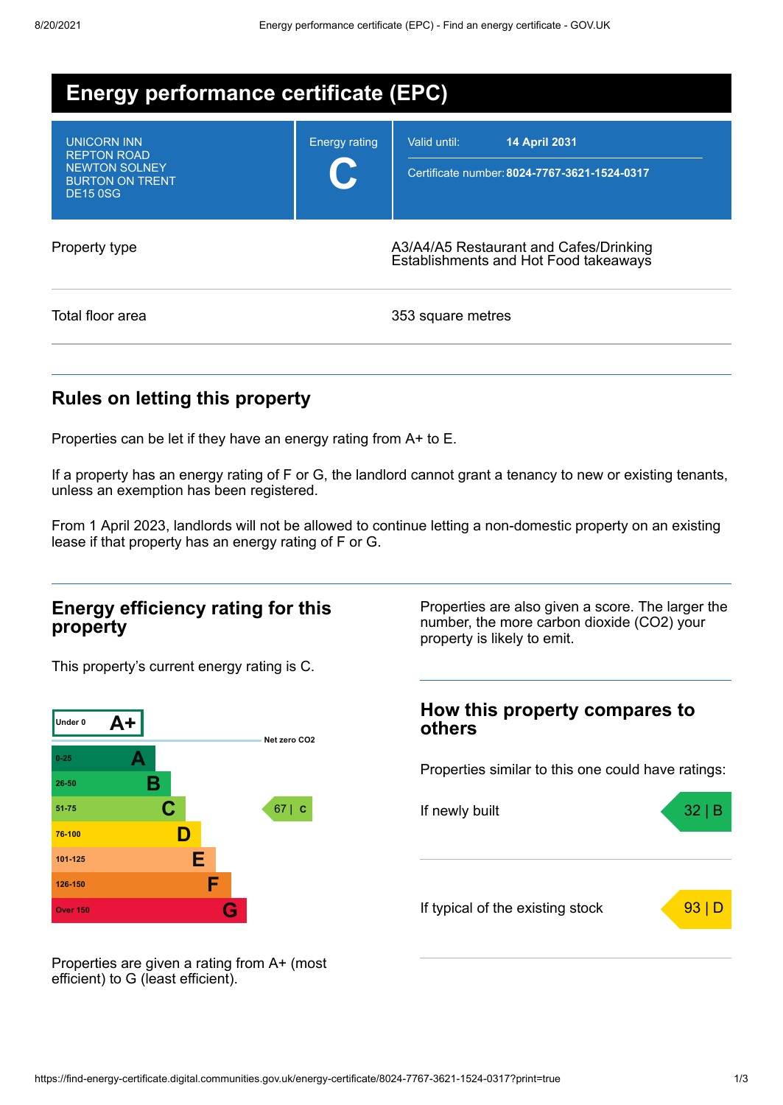| <b>Energy performance certificate (EPC)</b>                                                                   |                      |                                                                                      |  |  |
|---------------------------------------------------------------------------------------------------------------|----------------------|--------------------------------------------------------------------------------------|--|--|
| <b>UNICORN INN</b><br><b>REPTON ROAD</b><br><b>NEWTON SOLNEY</b><br><b>BURTON ON TRENT</b><br><b>DE15 0SG</b> | <b>Energy rating</b> | <b>14 April 2031</b><br>Valid until:<br>Certificate number: 8024-7767-3621-1524-0317 |  |  |
| Property type                                                                                                 |                      | A3/A4/A5 Restaurant and Cafes/Drinking<br>Establishments and Hot Food takeaways      |  |  |
| Total floor area                                                                                              |                      | 353 square metres                                                                    |  |  |

## **Rules on letting this property**

Properties can be let if they have an energy rating from A+ to E.

If a property has an energy rating of F or G, the landlord cannot grant a tenancy to new or existing tenants, unless an exemption has been registered.

From 1 April 2023, landlords will not be allowed to continue letting a non-domestic property on an existing lease if that property has an energy rating of F or G.

## **Energy efficiency rating for this property**

This property's current energy rating is C.



Properties are also given a score. The larger the number, the more carbon dioxide (CO2) your property is likely to emit.

## **How this property compares to others**

Properties similar to this one could have ratings:



Properties are given a rating from A+ (most efficient) to G (least efficient).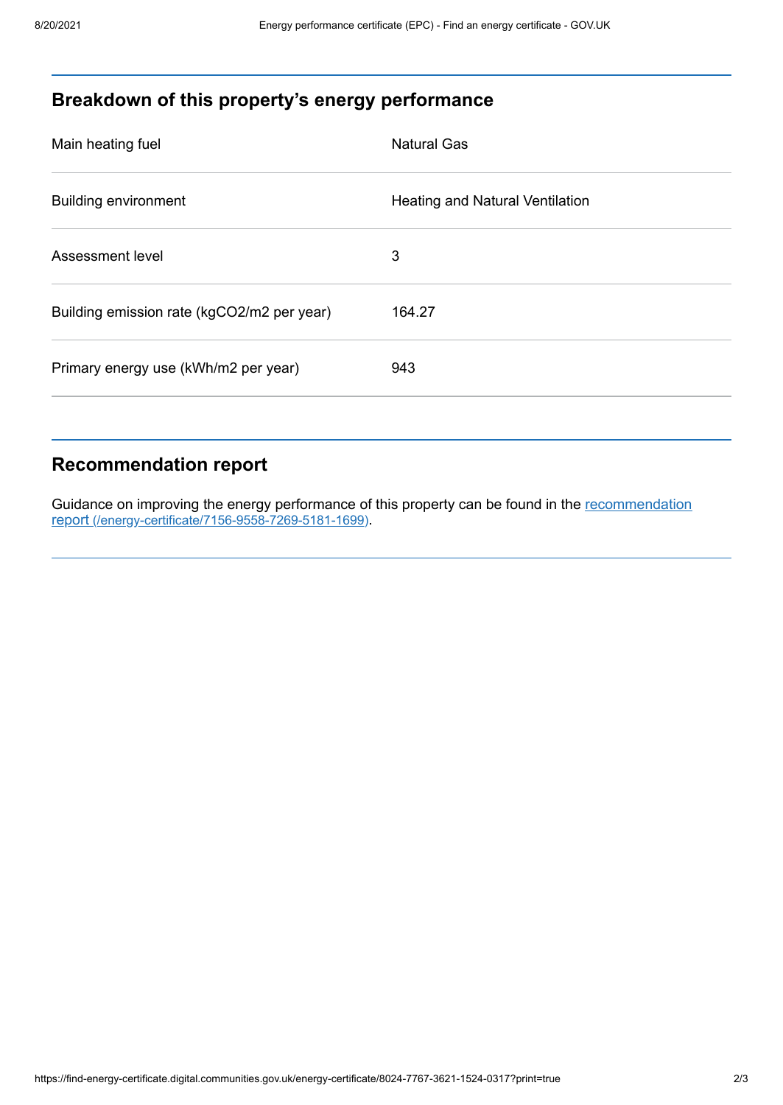# **Breakdown of this property's energy performance**

| Main heating fuel                          | <b>Natural Gas</b>                     |
|--------------------------------------------|----------------------------------------|
| <b>Building environment</b>                | <b>Heating and Natural Ventilation</b> |
| Assessment level                           | 3                                      |
| Building emission rate (kgCO2/m2 per year) | 164.27                                 |
| Primary energy use (kWh/m2 per year)       | 943                                    |
|                                            |                                        |

# **Recommendation report**

Guidance on improving the energy performance of this property can be found in the recommendation report [\(/energy-certificate/7156-9558-7269-5181-1699\)](https://find-energy-certificate.digital.communities.gov.uk/energy-certificate/7156-9558-7269-5181-1699).